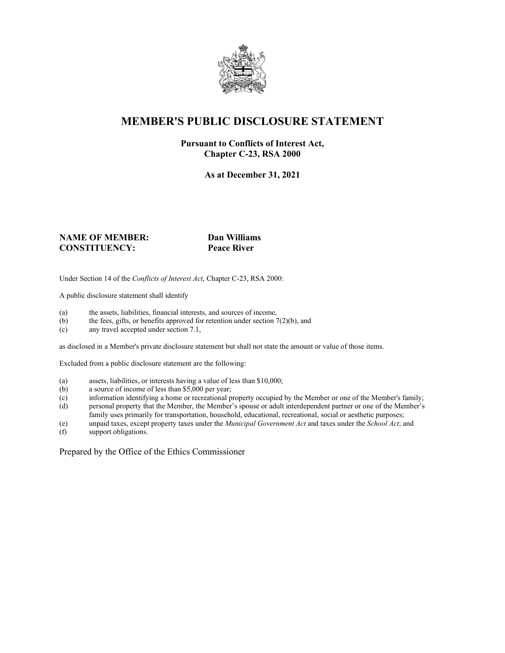

## **MEMBER'S PUBLIC DISCLOSURE STATEMENT**

#### **Pursuant to Conflicts of Interest Act, Chapter C-23, RSA 2000**

**As at December 31, 2021**

#### **NAME OF MEMBER: Dan Williams CONSTITUENCY: Peace River**

Under Section 14 of the *Conflicts of Interest Act*, Chapter C-23, RSA 2000:

A public disclosure statement shall identify

- (a) the assets, liabilities, financial interests, and sources of income,  $(b)$  the fees, gifts, or benefits approved for retention under section 7
- the fees, gifts, or benefits approved for retention under section  $7(2)(b)$ , and
- (c) any travel accepted under section 7.1,

as disclosed in a Member's private disclosure statement but shall not state the amount or value of those items.

Excluded from a public disclosure statement are the following:

- (a) assets, liabilities, or interests having a value of less than \$10,000;<br>(b) a source of income of less than \$5,000 per year;
- a source of income of less than  $$5,000$  per year;
- (c) information identifying a home or recreational property occupied by the Member or one of the Member's family;
- (d) personal property that the Member, the Member's spouse or adult interdependent partner or one of the Member's family uses primarily for transportation, household, educational, recreational, social or aesthetic purposes;
- (e) unpaid taxes, except property taxes under the *Municipal Government Act* and taxes under the *School Act*; and
- (f) support obligations.

Prepared by the Office of the Ethics Commissioner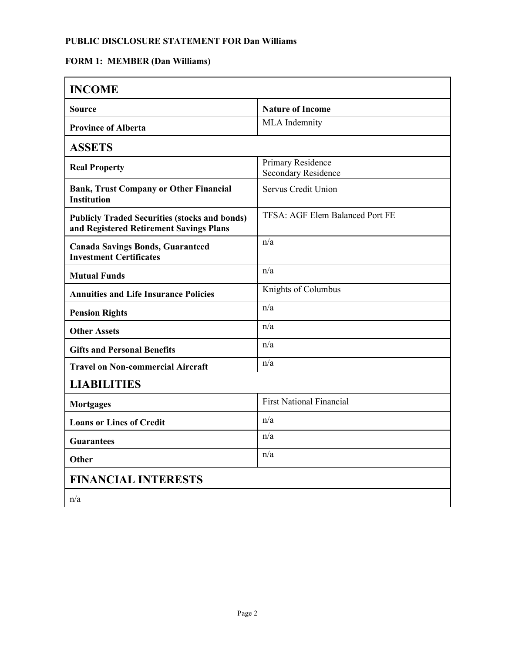## **PUBLIC DISCLOSURE STATEMENT FOR Dan Williams**

# **FORM 1: MEMBER (Dan Williams)**

| <b>INCOME</b>                                                                                   |                                                 |  |
|-------------------------------------------------------------------------------------------------|-------------------------------------------------|--|
| <b>Source</b>                                                                                   | <b>Nature of Income</b>                         |  |
| <b>Province of Alberta</b>                                                                      | <b>MLA</b> Indemnity                            |  |
| <b>ASSETS</b>                                                                                   |                                                 |  |
| <b>Real Property</b>                                                                            | Primary Residence<br><b>Secondary Residence</b> |  |
| <b>Bank, Trust Company or Other Financial</b><br><b>Institution</b>                             | Servus Credit Union                             |  |
| <b>Publicly Traded Securities (stocks and bonds)</b><br>and Registered Retirement Savings Plans | TFSA: AGF Elem Balanced Port FE                 |  |
| <b>Canada Savings Bonds, Guaranteed</b><br><b>Investment Certificates</b>                       | n/a                                             |  |
| <b>Mutual Funds</b>                                                                             | n/a                                             |  |
| <b>Annuities and Life Insurance Policies</b>                                                    | Knights of Columbus                             |  |
| <b>Pension Rights</b>                                                                           | n/a                                             |  |
| <b>Other Assets</b>                                                                             | n/a                                             |  |
| <b>Gifts and Personal Benefits</b>                                                              | n/a                                             |  |
| <b>Travel on Non-commercial Aircraft</b>                                                        | n/a                                             |  |
| <b>LIABILITIES</b>                                                                              |                                                 |  |
| <b>Mortgages</b>                                                                                | <b>First National Financial</b>                 |  |
| <b>Loans or Lines of Credit</b>                                                                 | n/a                                             |  |
| <b>Guarantees</b>                                                                               | n/a                                             |  |
| <b>Other</b>                                                                                    | n/a                                             |  |
| <b>FINANCIAL INTERESTS</b>                                                                      |                                                 |  |
| n/a                                                                                             |                                                 |  |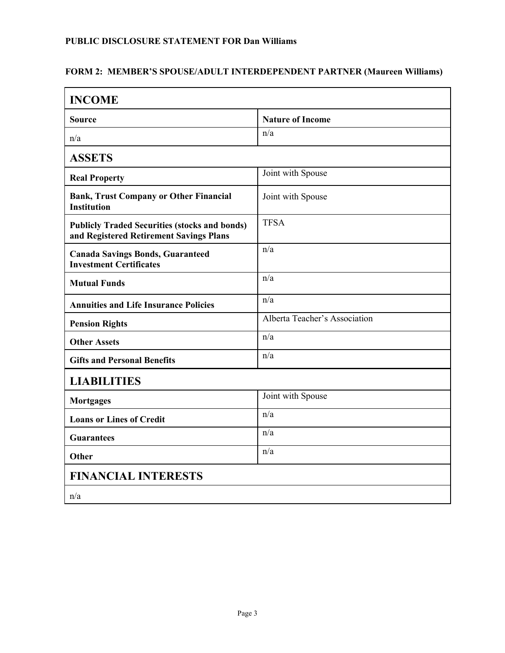#### **PUBLIC DISCLOSURE STATEMENT FOR Dan Williams**

### **FORM 2: MEMBER'S SPOUSE/ADULT INTERDEPENDENT PARTNER (Maureen Williams)**

| <b>INCOME</b>                                                                                   |                               |  |
|-------------------------------------------------------------------------------------------------|-------------------------------|--|
| <b>Source</b>                                                                                   | <b>Nature of Income</b>       |  |
| n/a                                                                                             | n/a                           |  |
| <b>ASSETS</b>                                                                                   |                               |  |
| <b>Real Property</b>                                                                            | Joint with Spouse             |  |
| <b>Bank, Trust Company or Other Financial</b><br><b>Institution</b>                             | Joint with Spouse             |  |
| <b>Publicly Traded Securities (stocks and bonds)</b><br>and Registered Retirement Savings Plans | <b>TFSA</b>                   |  |
| <b>Canada Savings Bonds, Guaranteed</b><br><b>Investment Certificates</b>                       | n/a                           |  |
| <b>Mutual Funds</b>                                                                             | n/a                           |  |
| <b>Annuities and Life Insurance Policies</b>                                                    | n/a                           |  |
| <b>Pension Rights</b>                                                                           | Alberta Teacher's Association |  |
| <b>Other Assets</b>                                                                             | n/a                           |  |
| <b>Gifts and Personal Benefits</b>                                                              | n/a                           |  |
| <b>LIABILITIES</b>                                                                              |                               |  |
| <b>Mortgages</b>                                                                                | Joint with Spouse             |  |
| <b>Loans or Lines of Credit</b>                                                                 | n/a                           |  |
| <b>Guarantees</b>                                                                               | n/a                           |  |
| Other                                                                                           | n/a                           |  |
| <b>FINANCIAL INTERESTS</b>                                                                      |                               |  |
| n/a                                                                                             |                               |  |